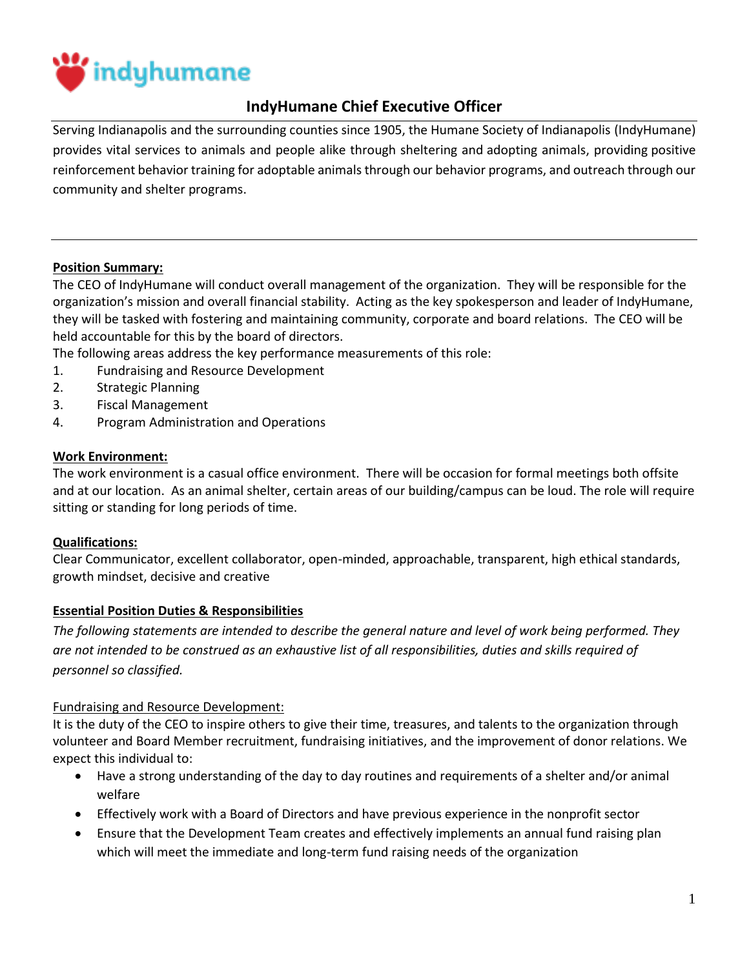

# **IndyHumane Chief Executive Officer**

Serving Indianapolis and the surrounding counties since 1905, the Humane Society of Indianapolis (IndyHumane) provides vital services to animals and people alike through sheltering and [adopting animals,](https://indyhumane.org/find_pet) providing [positive](https://indyhumane.org/services/#behavior-resources)  [reinforcement behavior training](https://indyhumane.org/services/#behavior-resources) for adoptable animals through our behavior programs, and outreach through our community and shelter programs.

### **Position Summary:**

The CEO of IndyHumane will conduct overall management of the organization. They will be responsible for the organization's mission and overall financial stability. Acting as the key spokesperson and leader of IndyHumane, they will be tasked with fostering and maintaining community, corporate and board relations. The CEO will be held accountable for this by the board of directors.

The following areas address the key performance measurements of this role:

- 1. Fundraising and Resource Development
- 2. Strategic Planning
- 3. Fiscal Management
- 4. Program Administration and Operations

#### **Work Environment:**

The work environment is a casual office environment. There will be occasion for formal meetings both offsite and at our location. As an animal shelter, certain areas of our building/campus can be loud. The role will require sitting or standing for long periods of time.

#### **Qualifications:**

Clear Communicator, excellent collaborator, open-minded, approachable, transparent, high ethical standards, growth mindset, decisive and creative

#### **Essential Position Duties & Responsibilities**

*The following statements are intended to describe the general nature and level of work being performed. They are not intended to be construed as an exhaustive list of all responsibilities, duties and skills required of personnel so classified.* 

#### Fundraising and Resource Development:

It is the duty of the CEO to inspire others to give their time, treasures, and talents to the organization through volunteer and Board Member recruitment, fundraising initiatives, and the improvement of donor relations. We expect this individual to:

- Have a strong understanding of the day to day routines and requirements of a shelter and/or animal welfare
- Effectively work with a Board of Directors and have previous experience in the nonprofit sector
- Ensure that the Development Team creates and effectively implements an annual fund raising plan which will meet the immediate and long-term fund raising needs of the organization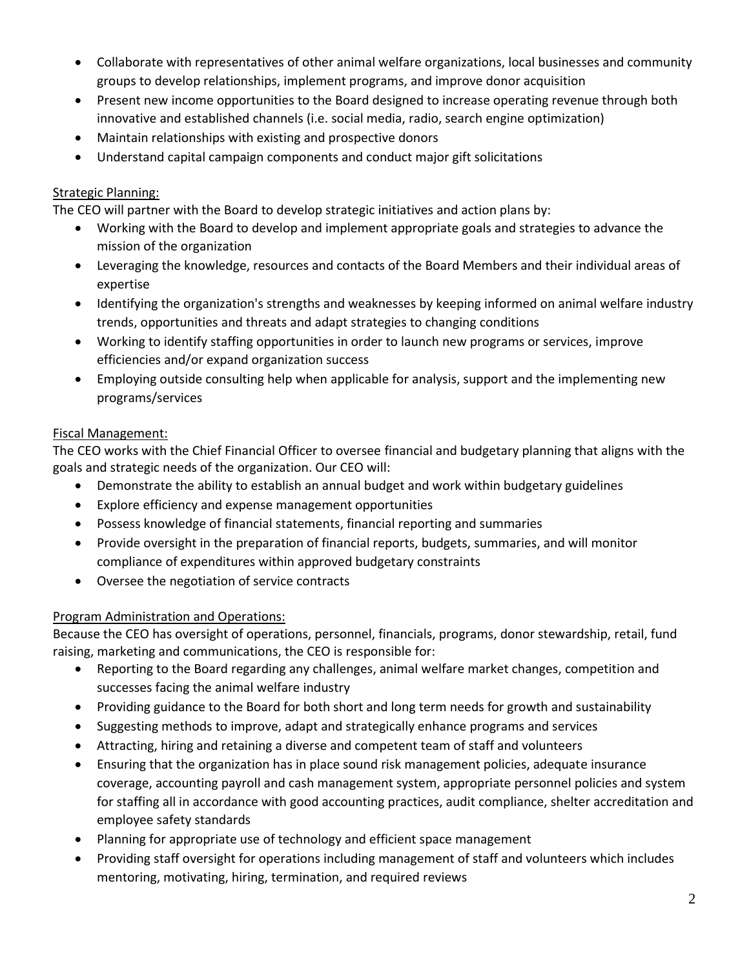- Collaborate with representatives of other animal welfare organizations, local businesses and community groups to develop relationships, implement programs, and improve donor acquisition
- Present new income opportunities to the Board designed to increase operating revenue through both innovative and established channels (i.e. social media, radio, search engine optimization)
- Maintain relationships with existing and prospective donors
- Understand capital campaign components and conduct major gift solicitations

### Strategic Planning:

The CEO will partner with the Board to develop strategic initiatives and action plans by:

- Working with the Board to develop and implement appropriate goals and strategies to advance the mission of the organization
- Leveraging the knowledge, resources and contacts of the Board Members and their individual areas of expertise
- Identifying the organization's strengths and weaknesses by keeping informed on animal welfare industry trends, opportunities and threats and adapt strategies to changing conditions
- Working to identify staffing opportunities in order to launch new programs or services, improve efficiencies and/or expand organization success
- Employing outside consulting help when applicable for analysis, support and the implementing new programs/services

## Fiscal Management:

The CEO works with the Chief Financial Officer to oversee financial and budgetary planning that aligns with the goals and strategic needs of the organization. Our CEO will:

- Demonstrate the ability to establish an annual budget and work within budgetary guidelines
- Explore efficiency and expense management opportunities
- Possess knowledge of financial statements, financial reporting and summaries
- Provide oversight in the preparation of financial reports, budgets, summaries, and will monitor compliance of expenditures within approved budgetary constraints
- Oversee the negotiation of service contracts

### Program Administration and Operations:

Because the CEO has oversight of operations, personnel, financials, programs, donor stewardship, retail, fund raising, marketing and communications, the CEO is responsible for:

- Reporting to the Board regarding any challenges, animal welfare market changes, competition and successes facing the animal welfare industry
- Providing guidance to the Board for both short and long term needs for growth and sustainability
- Suggesting methods to improve, adapt and strategically enhance programs and services
- Attracting, hiring and retaining a diverse and competent team of staff and volunteers
- Ensuring that the organization has in place sound risk management policies, adequate insurance coverage, accounting payroll and cash management system, appropriate personnel policies and system for staffing all in accordance with good accounting practices, audit compliance, shelter accreditation and employee safety standards
- Planning for appropriate use of technology and efficient space management
- Providing staff oversight for operations including management of staff and volunteers which includes mentoring, motivating, hiring, termination, and required reviews